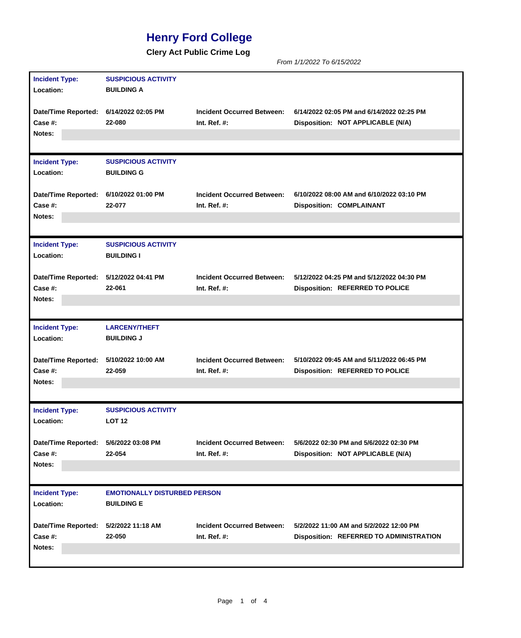## **Henry Ford College**

**Clery Act Public Crime Log**

*From 1/1/2022 To 6/15/2022*

| <b>Incident Type:</b>                  | <b>SUSPICIOUS ACTIVITY</b>                      |                                   |                                                |
|----------------------------------------|-------------------------------------------------|-----------------------------------|------------------------------------------------|
| Location:                              | <b>BUILDING A</b>                               |                                   |                                                |
|                                        |                                                 |                                   |                                                |
| Date/Time Reported: 6/14/2022 02:05 PM |                                                 | <b>Incident Occurred Between:</b> | 6/14/2022 02:05 PM and 6/14/2022 02:25 PM      |
| Case #:                                | 22-080                                          | Int. Ref. $#$ :                   | Disposition: NOT APPLICABLE (N/A)              |
| Notes:                                 |                                                 |                                   |                                                |
|                                        |                                                 |                                   |                                                |
| <b>Incident Type:</b>                  | <b>SUSPICIOUS ACTIVITY</b>                      |                                   |                                                |
| Location:                              | <b>BUILDING G</b>                               |                                   |                                                |
| <b>Date/Time Reported:</b>             | 6/10/2022 01:00 PM                              | <b>Incident Occurred Between:</b> | 6/10/2022 08:00 AM and 6/10/2022 03:10 PM      |
| Case #:                                | 22-077                                          | Int. $Ref. #:$                    | <b>Disposition: COMPLAINANT</b>                |
| Notes:                                 |                                                 |                                   |                                                |
|                                        |                                                 |                                   |                                                |
|                                        |                                                 |                                   |                                                |
| <b>Incident Type:</b><br>Location:     | <b>SUSPICIOUS ACTIVITY</b><br><b>BUILDING I</b> |                                   |                                                |
|                                        |                                                 |                                   |                                                |
| <b>Date/Time Reported:</b>             | 5/12/2022 04:41 PM                              | <b>Incident Occurred Between:</b> | 5/12/2022 04:25 PM and 5/12/2022 04:30 PM      |
| Case #:                                | 22-061                                          | Int. Ref. $#$ :                   | <b>Disposition: REFERRED TO POLICE</b>         |
| Notes:                                 |                                                 |                                   |                                                |
|                                        |                                                 |                                   |                                                |
| <b>Incident Type:</b>                  | <b>LARCENY/THEFT</b>                            |                                   |                                                |
| Location:                              | <b>BUILDING J</b>                               |                                   |                                                |
|                                        |                                                 |                                   |                                                |
| Date/Time Reported:                    | 5/10/2022 10:00 AM                              | <b>Incident Occurred Between:</b> | 5/10/2022 09:45 AM and 5/11/2022 06:45 PM      |
| Case #:                                | 22-059                                          | Int. Ref. $#$ :                   | <b>Disposition: REFERRED TO POLICE</b>         |
| Notes:                                 |                                                 |                                   |                                                |
|                                        |                                                 |                                   |                                                |
| <b>Incident Type:</b>                  | <b>SUSPICIOUS ACTIVITY</b>                      |                                   |                                                |
| Location:                              | <b>LOT 12</b>                                   |                                   |                                                |
|                                        |                                                 |                                   |                                                |
| <b>Date/Time Reported:</b>             | 5/6/2022 03:08 PM                               | <b>Incident Occurred Between:</b> | 5/6/2022 02:30 PM and 5/6/2022 02:30 PM        |
| Case #:                                | 22-054                                          | Int. Ref. $#$ :                   | Disposition: NOT APPLICABLE (N/A)              |
| Notes:                                 |                                                 |                                   |                                                |
|                                        |                                                 |                                   |                                                |
| <b>Incident Type:</b>                  | <b>EMOTIONALLY DISTURBED PERSON</b>             |                                   |                                                |
| Location:                              | <b>BUILDING E</b>                               |                                   |                                                |
|                                        |                                                 |                                   |                                                |
| <b>Date/Time Reported:</b>             | 5/2/2022 11:18 AM                               | <b>Incident Occurred Between:</b> | 5/2/2022 11:00 AM and 5/2/2022 12:00 PM        |
| Case #:                                | 22-050                                          | Int. $Ref. #:$                    | <b>Disposition: REFERRED TO ADMINISTRATION</b> |
| Notes:                                 |                                                 |                                   |                                                |
|                                        |                                                 |                                   |                                                |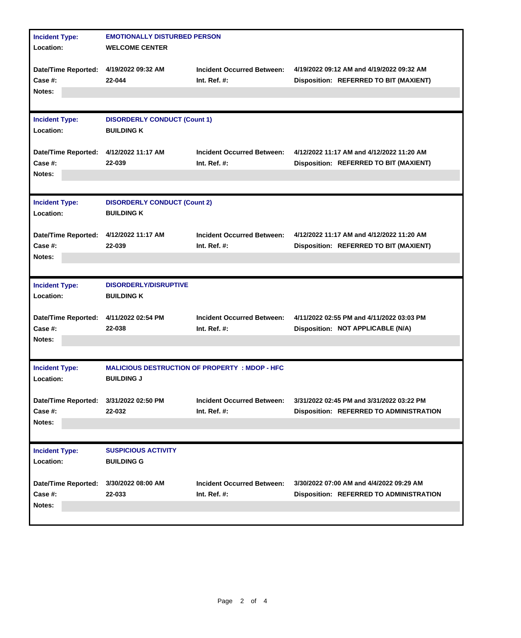| <b>Incident Type:</b>                  | <b>EMOTIONALLY DISTURBED PERSON</b>                      |                                                       |                                                |  |  |
|----------------------------------------|----------------------------------------------------------|-------------------------------------------------------|------------------------------------------------|--|--|
| Location:                              | <b>WELCOME CENTER</b>                                    |                                                       |                                                |  |  |
|                                        |                                                          |                                                       |                                                |  |  |
| <b>Date/Time Reported:</b>             | 4/19/2022 09:32 AM                                       | <b>Incident Occurred Between:</b>                     | 4/19/2022 09:12 AM and 4/19/2022 09:32 AM      |  |  |
| Case $#$ :                             | 22-044                                                   | Int. Ref. $#$ :                                       | Disposition: REFERRED TO BIT (MAXIENT)         |  |  |
| Notes:                                 |                                                          |                                                       |                                                |  |  |
|                                        |                                                          |                                                       |                                                |  |  |
| <b>Incident Type:</b>                  |                                                          |                                                       |                                                |  |  |
| Location:                              | <b>DISORDERLY CONDUCT (Count 1)</b><br><b>BUILDING K</b> |                                                       |                                                |  |  |
|                                        |                                                          |                                                       |                                                |  |  |
| Date/Time Reported: 4/12/2022 11:17 AM |                                                          | <b>Incident Occurred Between:</b>                     | 4/12/2022 11:17 AM and 4/12/2022 11:20 AM      |  |  |
| Case #:                                | 22-039                                                   | Int. Ref. $#$ :                                       | Disposition: REFERRED TO BIT (MAXIENT)         |  |  |
| Notes:                                 |                                                          |                                                       |                                                |  |  |
|                                        |                                                          |                                                       |                                                |  |  |
|                                        |                                                          |                                                       |                                                |  |  |
| <b>Incident Type:</b>                  | <b>DISORDERLY CONDUCT (Count 2)</b>                      |                                                       |                                                |  |  |
| Location:                              | <b>BUILDING K</b>                                        |                                                       |                                                |  |  |
|                                        |                                                          |                                                       |                                                |  |  |
| <b>Date/Time Reported:</b>             | 4/12/2022 11:17 AM                                       | <b>Incident Occurred Between:</b>                     | 4/12/2022 11:17 AM and 4/12/2022 11:20 AM      |  |  |
| Case #:                                | 22-039                                                   | Int. Ref. $#$ :                                       | Disposition: REFERRED TO BIT (MAXIENT)         |  |  |
| Notes:                                 |                                                          |                                                       |                                                |  |  |
|                                        |                                                          |                                                       |                                                |  |  |
|                                        |                                                          |                                                       |                                                |  |  |
|                                        |                                                          |                                                       |                                                |  |  |
| <b>Incident Type:</b>                  | <b>DISORDERLY/DISRUPTIVE</b>                             |                                                       |                                                |  |  |
| Location:                              | <b>BUILDING K</b>                                        |                                                       |                                                |  |  |
|                                        |                                                          |                                                       |                                                |  |  |
| <b>Date/Time Reported:</b>             | 4/11/2022 02:54 PM                                       | <b>Incident Occurred Between:</b>                     | 4/11/2022 02:55 PM and 4/11/2022 03:03 PM      |  |  |
| Case #:                                | 22-038                                                   | Int. Ref. $#$ :                                       | Disposition: NOT APPLICABLE (N/A)              |  |  |
| Notes:                                 |                                                          |                                                       |                                                |  |  |
|                                        |                                                          |                                                       |                                                |  |  |
| <b>Incident Type:</b>                  |                                                          | <b>MALICIOUS DESTRUCTION OF PROPERTY : MDOP - HFC</b> |                                                |  |  |
| Location:                              | <b>BUILDING J</b>                                        |                                                       |                                                |  |  |
|                                        |                                                          |                                                       |                                                |  |  |
| <b>Date/Time Reported:</b>             | 3/31/2022 02:50 PM                                       | <b>Incident Occurred Between:</b>                     | 3/31/2022 02:45 PM and 3/31/2022 03:22 PM      |  |  |
| Case #:                                | 22-032                                                   | Int. Ref. $#$ :                                       | Disposition: REFERRED TO ADMINISTRATION        |  |  |
| Notes:                                 |                                                          |                                                       |                                                |  |  |
|                                        |                                                          |                                                       |                                                |  |  |
| <b>Incident Type:</b>                  | <b>SUSPICIOUS ACTIVITY</b>                               |                                                       |                                                |  |  |
| Location:                              | <b>BUILDING G</b>                                        |                                                       |                                                |  |  |
|                                        |                                                          |                                                       |                                                |  |  |
| <b>Date/Time Reported:</b>             | 3/30/2022 08:00 AM                                       | <b>Incident Occurred Between:</b>                     | 3/30/2022 07:00 AM and 4/4/2022 09:29 AM       |  |  |
| Case #:                                | 22-033                                                   | Int. Ref. #:                                          | <b>Disposition: REFERRED TO ADMINISTRATION</b> |  |  |
| Notes:                                 |                                                          |                                                       |                                                |  |  |
|                                        |                                                          |                                                       |                                                |  |  |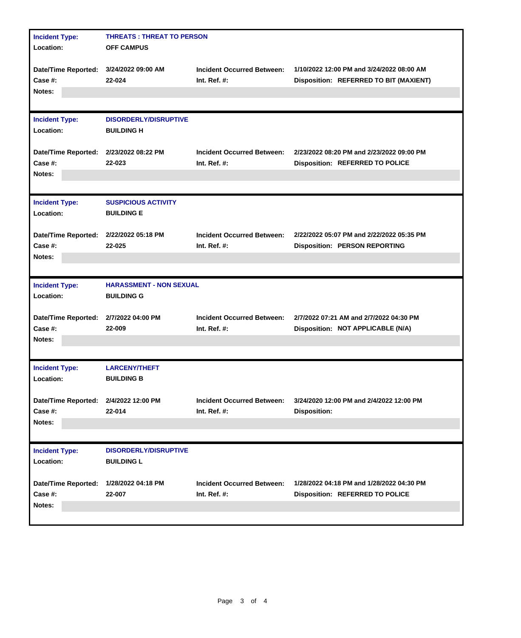| <b>Incident Type:</b><br>Location:                   | <b>THREATS: THREAT TO PERSON</b><br><b>OFF CAMPUS</b> |                                                      |                                                                                     |  |
|------------------------------------------------------|-------------------------------------------------------|------------------------------------------------------|-------------------------------------------------------------------------------------|--|
| Date/Time Reported: 3/24/2022 09:00 AM<br>Case $#$ : | 22-024                                                | <b>Incident Occurred Between:</b><br>Int. Ref. $#$ : | 1/10/2022 12:00 PM and 3/24/2022 08:00 AM<br>Disposition: REFERRED TO BIT (MAXIENT) |  |
| Notes:                                               |                                                       |                                                      |                                                                                     |  |
| <b>Incident Type:</b><br>Location:                   | <b>DISORDERLY/DISRUPTIVE</b><br><b>BUILDING H</b>     |                                                      |                                                                                     |  |
| Date/Time Reported: 2/23/2022 08:22 PM<br>Case $#$ : | 22-023                                                | <b>Incident Occurred Between:</b><br>Int. Ref. $#$ : | 2/23/2022 08:20 PM and 2/23/2022 09:00 PM<br><b>Disposition: REFERRED TO POLICE</b> |  |
| Notes:                                               |                                                       |                                                      |                                                                                     |  |
| <b>Incident Type:</b><br>Location:                   | <b>SUSPICIOUS ACTIVITY</b><br><b>BUILDING E</b>       |                                                      |                                                                                     |  |
| Date/Time Reported: 2/22/2022 05:18 PM               | 22-025                                                | <b>Incident Occurred Between:</b>                    | 2/22/2022 05:07 PM and 2/22/2022 05:35 PM                                           |  |
| Case #:<br>Notes:                                    |                                                       | Int. Ref. #:                                         | <b>Disposition: PERSON REPORTING</b>                                                |  |
|                                                      |                                                       |                                                      |                                                                                     |  |
| <b>Incident Type:</b><br>Location:                   | <b>HARASSMENT - NON SEXUAL</b><br><b>BUILDING G</b>   |                                                      |                                                                                     |  |
| Date/Time Reported:<br>Case #:                       | 2/7/2022 04:00 PM<br>22-009                           | <b>Incident Occurred Between:</b><br>Int. Ref. $#$ : | 2/7/2022 07:21 AM and 2/7/2022 04:30 PM<br>Disposition: NOT APPLICABLE (N/A)        |  |
| Notes:                                               |                                                       |                                                      |                                                                                     |  |
| <b>Incident Type:</b><br>Location:                   | <b>LARCENY/THEFT</b><br><b>BUILDING B</b>             |                                                      |                                                                                     |  |
| <b>Date/Time Reported:</b><br>Case #:                | 2/4/2022 12:00 PM<br>22-014                           | <b>Incident Occurred Between:</b><br>Int. Ref. #:    | 3/24/2020 12:00 PM and 2/4/2022 12:00 PM<br><b>Disposition:</b>                     |  |
| Notes:                                               |                                                       |                                                      |                                                                                     |  |
| <b>Incident Type:</b><br>Location:                   | <b>DISORDERLY/DISRUPTIVE</b><br><b>BUILDING L</b>     |                                                      |                                                                                     |  |
| <b>Date/Time Reported:</b><br>Case #:                | 1/28/2022 04:18 PM<br>22-007                          | <b>Incident Occurred Between:</b><br>Int. Ref. $#$ : | 1/28/2022 04:18 PM and 1/28/2022 04:30 PM<br><b>Disposition: REFERRED TO POLICE</b> |  |